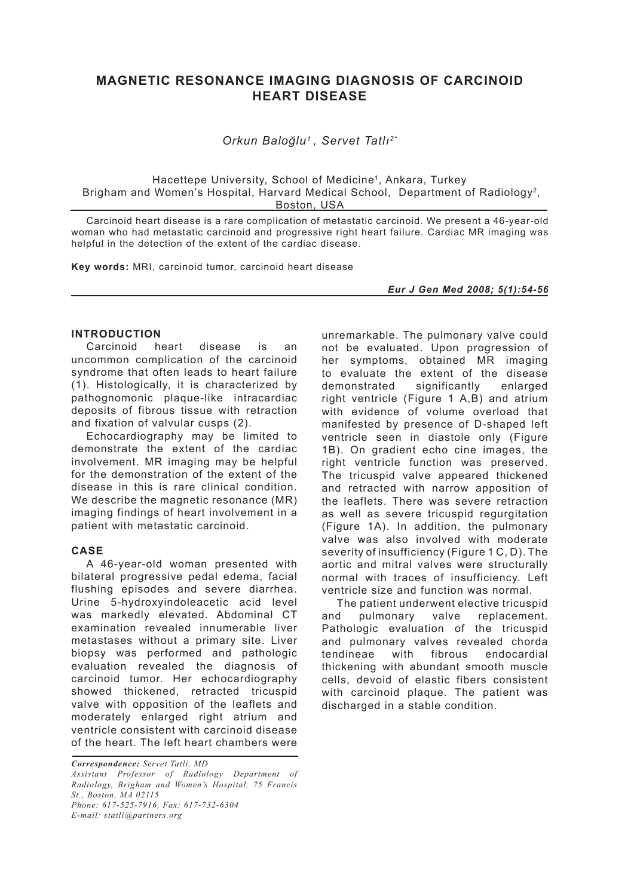# **MAGNETIC RESONANCE IMAGING DIAGNOSIS OF CARCINOID HEART DISEASE**

*Orkun Baloğlu1 , Servet Tatlı2\**

Hacettepe University, School of Medicine<sup>1</sup>, Ankara, Turkey Brigham and Women's Hospital, Harvard Medical School, Department of Radiology<sup>2</sup>, Boston, USA

Carcinoid heart disease is a rare complication of metastatic carcinoid. We present a 46-year-old woman who had metastatic carcinoid and progressive right heart failure. Cardiac MR imaging was helpful in the detection of the extent of the cardiac disease.

**Key words:** MRI, carcinoid tumor, carcinoid heart disease

*Eur J Gen Med 2008; 5(1):54-56*

### **INTRODUCTION**

Carcinoid heart disease is an uncommon complication of the carcinoid syndrome that often leads to heart failure (1). Histologically, it is characterized by pathognomonic plaque-like intracardiac deposits of fibrous tissue with retraction and fixation of valvular cusps (2).

Echocardiography may be limited to demonstrate the extent of the cardiac involvement. MR imaging may be helpful for the demonstration of the extent of the disease in this is rare clinical condition. We describe the magnetic resonance (MR) imaging findings of heart involvement in a patient with metastatic carcinoid.

#### **CASE**

A 46-year-old woman presented with bilateral progressive pedal edema, facial flushing episodes and severe diarrhea. Urine 5-hydroxyindoleacetic acid level was markedly elevated. Abdominal CT examination revealed innumerable liver metastases without a primary site. Liver biopsy was performed and pathologic evaluation revealed the diagnosis of carcinoid tumor. Her echocardiography showed thickened, retracted tricuspid valve with opposition of the leaflets and moderately enlarged right atrium and ventricle consistent with carcinoid disease of the heart. The left heart chambers were

*Correspondence: Servet Tatli, MD*

*Assistant Professor of Radiology Department of Radiology, Brigham and Women's Hospital, 75 Francis St., Boston, MA 02115 Phone: 617-525-7916, Fax: 617-732-6304*

*E-mail: statli@partners.org* 

unremarkable. The pulmonary valve could not be evaluated. Upon progression of her symptoms, obtained MR imaging to evaluate the extent of the disease demonstrated significantly enlarged right ventricle (Figure 1 A,B) and atrium with evidence of volume overload that manifested by presence of D-shaped left ventricle seen in diastole only (Figure 1B). On gradient echo cine images, the right ventricle function was preserved. The tricuspid valve appeared thickened and retracted with narrow apposition of the leaflets. There was severe retraction as well as severe tricuspid regurgitation (Figure 1A). In addition, the pulmonary valve was also involved with moderate severity of insufficiency (Figure 1 C, D). The aortic and mitral valves were structurally normal with traces of insufficiency. Left ventricle size and function was normal.

The patient underwent elective tricuspid and pulmonary valve replacement. Pathologic evaluation of the tricuspid and pulmonary valves revealed chorda tendineae with fibrous endocardial thickening with abundant smooth muscle cells, devoid of elastic fibers consistent with carcinoid plaque. The patient was discharged in a stable condition.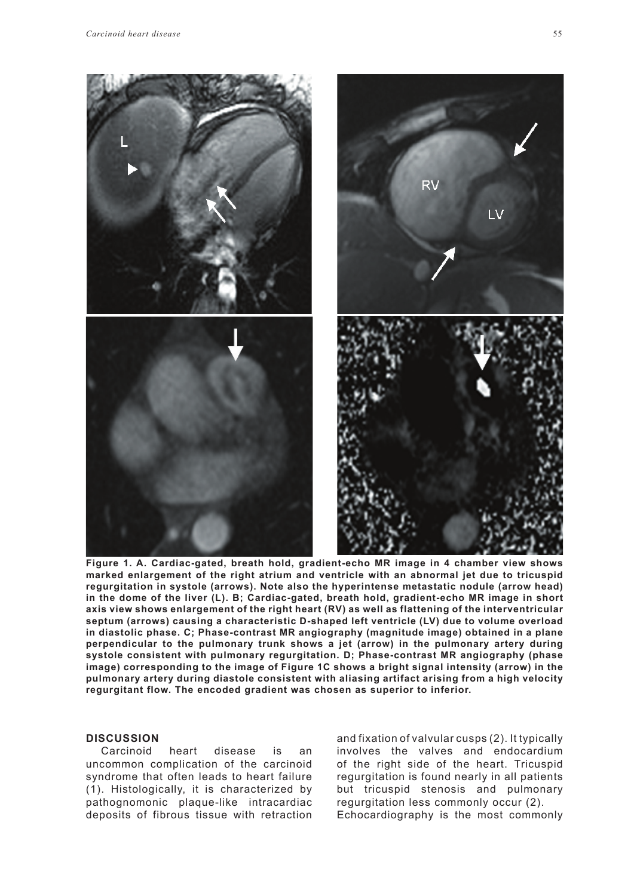

**Figure 1. A. Cardiac-gated, breath hold, gradient-echo MR image in 4 chamber view shows marked enlargement of the right atrium and ventricle with an abnormal jet due to tricuspid regurgitation in systole (arrows). Note also the hyperintense metastatic nodule (arrow head) in the dome of the liver (L). B; Cardiac-gated, breath hold, gradient-echo MR image in short axis view shows enlargement of the right heart (RV) as well as flattening of the interventricular septum (arrows) causing a characteristic D-shaped left ventricle (LV) due to volume overload in diastolic phase. C; Phase-contrast MR angiography (magnitude image) obtained in a plane perpendicular to the pulmonary trunk shows a jet (arrow) in the pulmonary artery during systole consistent with pulmonary regurgitation. D; Phase-contrast MR angiography (phase image) corresponding to the image of Figure 1C shows a bright signal intensity (arrow) in the pulmonary artery during diastole consistent with aliasing artifact arising from a high velocity regurgitant flow. The encoded gradient was chosen as superior to inferior.** 

#### **DISCUSSION**

Carcinoid heart disease is an uncommon complication of the carcinoid syndrome that often leads to heart failure (1). Histologically, it is characterized by pathognomonic plaque-like intracardiac deposits of fibrous tissue with retraction

and fixation of valvular cusps (2). It typically involves the valves and endocardium of the right side of the heart. Tricuspid regurgitation is found nearly in all patients but tricuspid stenosis and pulmonary regurgitation less commonly occur (2). Echocardiography is the most commonly